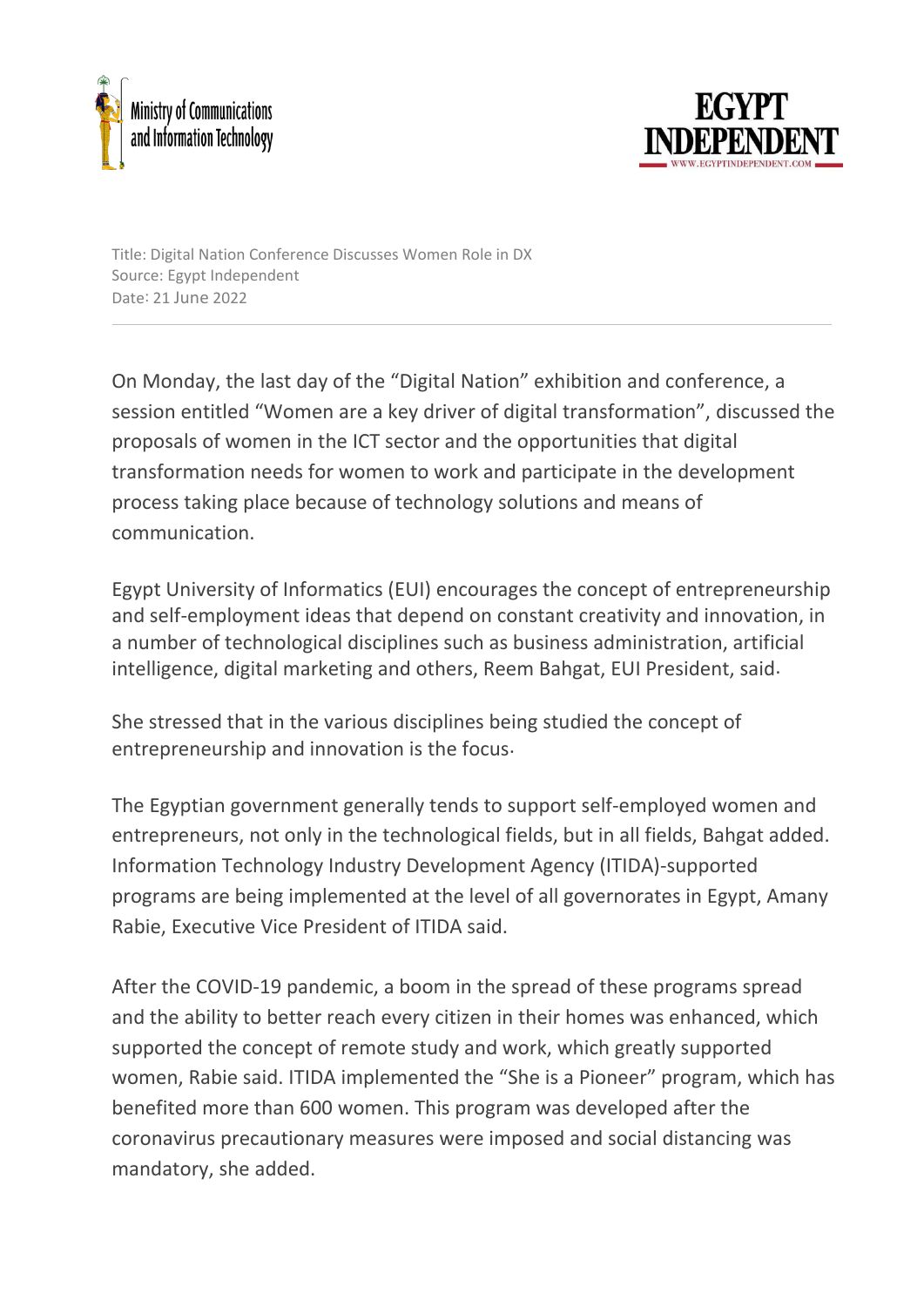



Title: Digital Nation Conference Discusses Women Role in DX Source: Egypt Independent Date: 21 June 2022

On Monday, the last day of the "Digital Nation" exhibition and conference, a session entitled "Women are a key driver of digital transformation", discussed the proposals of women in the ICT sector and the opportunities that digital transformation needs for women to work and participate in the development process taking place because of technology solutions and means of communication.

Egypt University of Informatics (EUI) encourages the concept of entrepreneurship and self-employment ideas that depend on constant creativity and innovation, in a number of technological disciplines such as business administration, artificial intelligence, digital marketing and others, Reem Bahgat, EUI President, said.

She stressed that in the various disciplines being studied the concept of entrepreneurship and innovation is the focus.

The Egyptian government generally tends to support self-employed women and entrepreneurs, not only in the technological fields, but in all fields, Bahgat added. Information Technology Industry Development Agency (ITIDA)-supported programs are being implemented at the level of all governorates in Egypt, Amany Rabie, Executive Vice President of ITIDA said.

After the COVID-19 pandemic, a boom in the spread of these programs spread and the ability to better reach every citizen in their homes was enhanced, which supported the concept of remote study and work, which greatly supported women, Rabie said. ITIDA implemented the "She is a Pioneer" program, which has benefited more than 600 women. This program was developed after the coronavirus precautionary measures were imposed and social distancing was mandatory, she added.